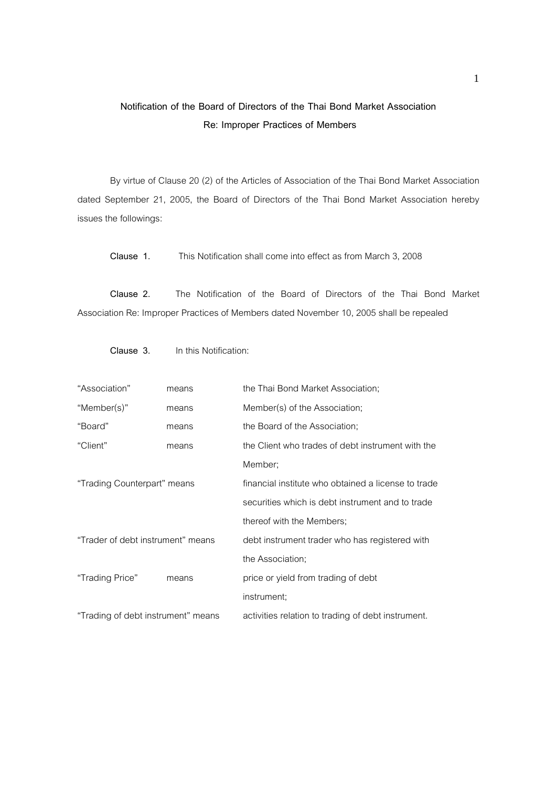## **Notification of the Board of Directors of the Thai Bond Market Association Re: Improper Practices of Members**

By virtue of Clause 20 (2) of the Articles of Association of the Thai Bond Market Association dated September 21, 2005, the Board of Directors of the Thai Bond Market Association hereby issues the followings:

**Clause 1.** This Notification shall come into effect as from March 3, 2008

**Clause 2.** The Notification of the Board of Directors of the Thai Bond Market Association Re: Improper Practices of Members dated November 10, 2005 shall be repealed

| "Association"                      | means | the Thai Bond Market Association;                   |
|------------------------------------|-------|-----------------------------------------------------|
| "Member(s)"                        | means | Member(s) of the Association;                       |
| "Board"                            | means | the Board of the Association;                       |
| "Client"                           | means | the Client who trades of debt instrument with the   |
|                                    |       | Member;                                             |
| "Trading Counterpart" means        |       | financial institute who obtained a license to trade |
|                                    |       | securities which is debt instrument and to trade    |
|                                    |       | thereof with the Members;                           |
| "Trader of debt instrument" means  |       | debt instrument trader who has registered with      |
|                                    |       | the Association;                                    |
| "Trading Price"                    | means | price or yield from trading of debt                 |
|                                    |       | instrument;                                         |
| "Trading of debt instrument" means |       | activities relation to trading of debt instrument.  |

 **Clause 3.** In this Notification: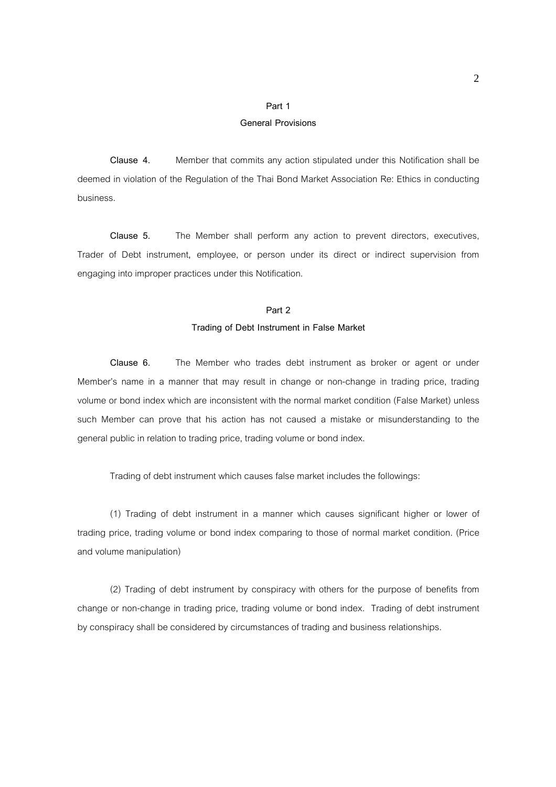# **Part 1**

## **General Provisions**

**Clause 4.** Member that commits any action stipulated under this Notification shall be deemed in violation of the Regulation of the Thai Bond Market Association Re: Ethics in conducting business.

 **Clause 5.** The Member shall perform any action to prevent directors, executives, Trader of Debt instrument**,** employee, or person under its direct or indirect supervision from engaging into improper practices under this Notification.

#### **Part 2**

#### **Trading of Debt Instrument in False Market**

**Clause 6.** The Member who trades debt instrument as broker or agent or under Member's name in a manner that may result in change or non-change in trading price, trading volume or bond index which are inconsistent with the normal market condition (False Market) unless such Member can prove that his action has not caused a mistake or misunderstanding to the general public in relation to trading price, trading volume or bond index.

Trading of debt instrument which causes false market includes the followings:

 (1) Trading of debt instrument in a manner which causes significant higher or lower of trading price, trading volume or bond index comparing to those of normal market condition. (Price and volume manipulation)

 (2) Trading of debt instrument by conspiracy with others for the purpose of benefits from change or non-change in trading price, trading volume or bond index. Trading of debt instrument by conspiracy shall be considered by circumstances of trading and business relationships.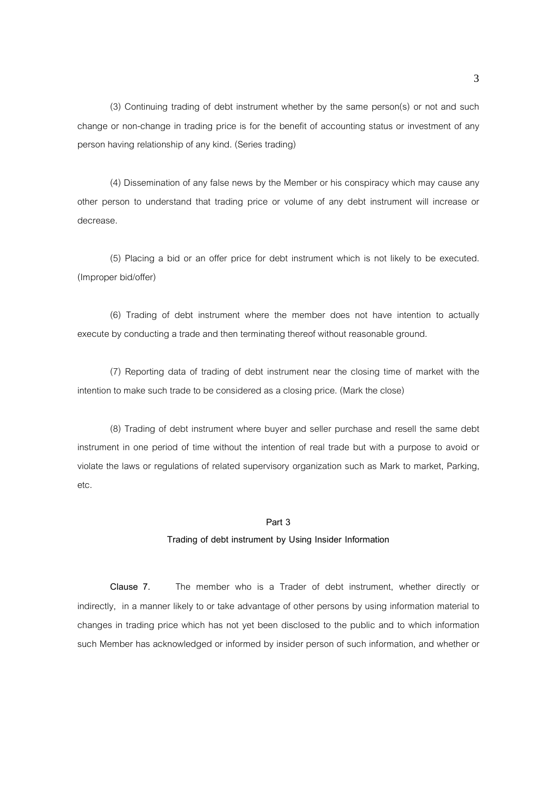(3) Continuing trading of debt instrument whether by the same person(s) or not and such change or non-change in trading price is for the benefit of accounting status or investment of any person having relationship of any kind. (Series trading)

 (4) Dissemination of any false news by the Member or his conspiracy which may cause any other person to understand that trading price or volume of any debt instrument will increase or decrease.

 (5) Placing a bid or an offer price for debt instrument which is not likely to be executed. (Improper bid/offer)

 (6) Trading of debt instrument where the member does not have intention to actually execute by conducting a trade and then terminating thereof without reasonable ground.

 (7) Reporting data of trading of debt instrument near the closing time of market with the intention to make such trade to be considered as a closing price. (Mark the close)

 (8) Trading of debt instrument where buyer and seller purchase and resell the same debt instrument in one period of time without the intention of real trade but with a purpose to avoid or violate the laws or regulations of related supervisory organization such as Mark to market, Parking, etc.

#### **Part 3**

## **Trading of debt instrument by Using Insider Information**

 **Clause 7.** The member who is a Trader of debt instrument, whether directly or indirectly, in a manner likely to or take advantage of other persons by using information material to changes in trading price which has not yet been disclosed to the public and to which information such Member has acknowledged or informed by insider person of such information, and whether or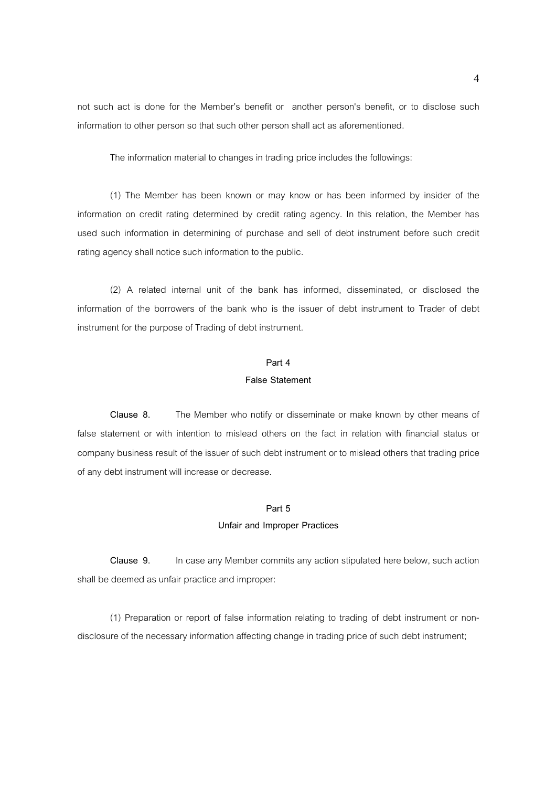not such act is done for the Member's benefit or another person's benefit, or to disclose such information to other person so that such other person shall act as aforementioned.

The information material to changes in trading price includes the followings:

 (1) The Member has been known or may know or has been informed by insider of the information on credit rating determined by credit rating agency. In this relation, the Member has used such information in determining of purchase and sell of debt instrument before such credit rating agency shall notice such information to the public.

 (2) A related internal unit of the bank has informed, disseminated, or disclosed the information of the borrowers of the bank who is the issuer of debt instrument to Trader of debt instrument for the purpose of Trading of debt instrument.

## **Part 4**

#### **False Statement**

 **Clause 8.** The Member who notify or disseminate or make known by other means of false statement or with intention to mislead others on the fact in relation with financial status or company business result of the issuer of such debt instrument or to mislead others that trading price of any debt instrument will increase or decrease.

## **Part 5**

#### **Unfair and Improper Practices**

 **Clause 9.** In case any Member commits any action stipulated here below, such action shall be deemed as unfair practice and improper:

 (1) Preparation or report of false information relating to trading of debt instrument or nondisclosure of the necessary information affecting change in trading price of such debt instrument;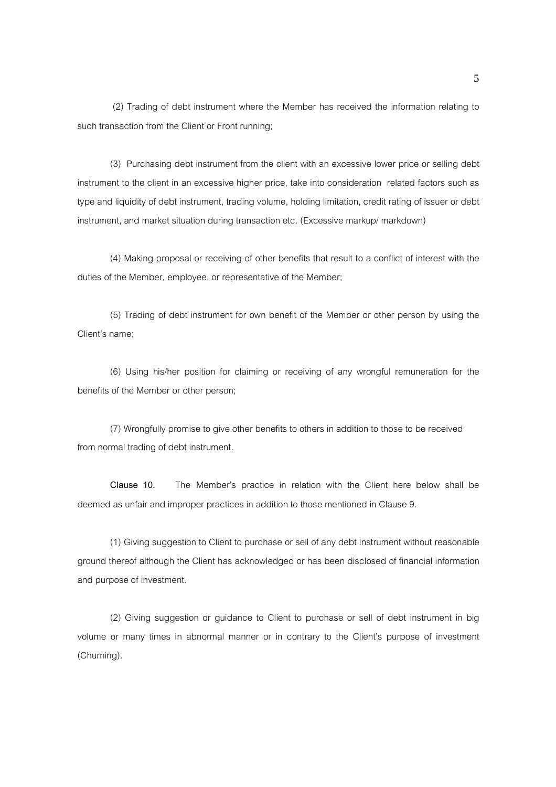(2) Trading of debt instrument where the Member has received the information relating to such transaction from the Client or Front running;

 (3) Purchasing debt instrument from the client with an excessive lower price or selling debt instrument to the client in an excessive higher price, take into consideration related factors such as type and liquidity of debt instrument, trading volume, holding limitation, credit rating of issuer or debt instrument, and market situation during transaction etc. (Excessive markup/ markdown)

 (4) Making proposal or receiving of other benefits that result to a conflict of interest with the duties of the Member, employee, or representative of the Member;

 (5) Trading of debt instrument for own benefit of the Member or other person by using the Client's name:

 (6) Using his/her position for claiming or receiving of any wrongful remuneration for the benefits of the Member or other person;

 (7) Wrongfully promise to give other benefits to others in addition to those to be received from normal trading of debt instrument.

**Clause 10.** The Member's practice in relation with the Client here below shall be deemed as unfair and improper practices in addition to those mentioned in Clause 9.

 (1) Giving suggestion to Client to purchase or sell of any debt instrument without reasonable ground thereof although the Client has acknowledged or has been disclosed of financial information and purpose of investment.

 (2) Giving suggestion or guidance to Client to purchase or sell of debt instrument in big volume or many times in abnormal manner or in contrary to the Client's purpose of investment (Churning).